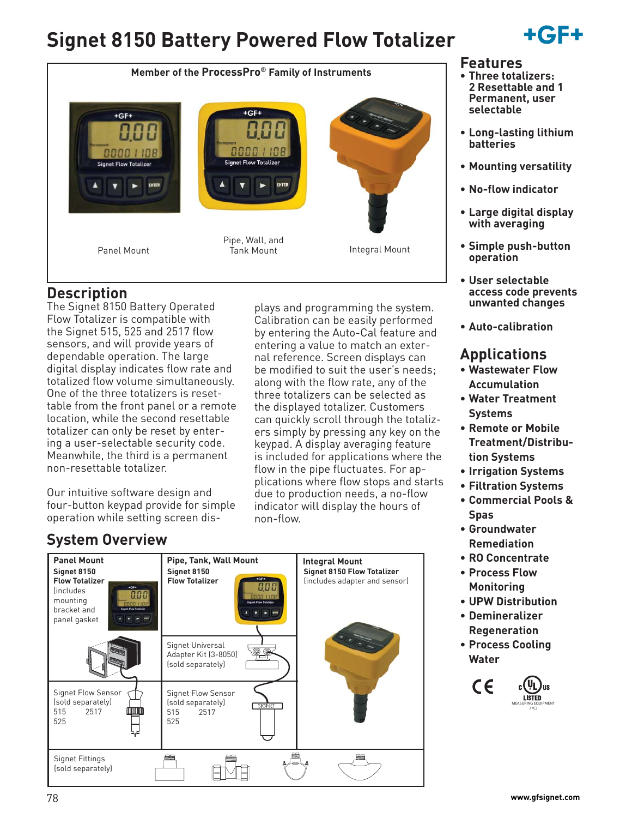# **Signet 8150 Battery Powered Flow Totalizer**





# **Description**

The Signet 8150 Battery Operated Flow Totalizer is compatible with the Signet 515, 525 and 2517 flow sensors, and will provide years of dependable operation. The large digital display indicates flow rate and totalized flow volume simultaneously. One of the three totalizers is resettable from the front panel or a remote location, while the second resettable totalizer can only be reset by entering a user-selectable security code. Meanwhile, the third is a permanent non-resettable totalizer.

Our intuitive software design and four-button keypad provide for simple operation while setting screen displays and programming the system. Calibration can be easily performed by entering the Auto-Cal feature and entering a value to match an external reference. Screen displays can be modified to suit the user's needs; along with the flow rate, any of the three totalizers can be selected as the displayed totalizer. Customers can quickly scroll through the totalizers simply by pressing any key on the keypad. A display averaging feature is included for applications where the flow in the pipe fluctuates. For applications where flow stops and starts due to production needs, a no-flow indicator will display the hours of non-flow.

# **System Overview**



### **Features**

- **Three totalizers: 2 Resettable and 1 Permanent, user selectable**
- **Long-lasting lithium batteries**
- **Mounting versatility**
- **No-flow indicator**
- **Large digital display with averaging**
- **Simple push-button operation**
- **User selectable access code prevents unwanted changes**
- **Auto-calibration**

# **Applications**

- **Wastewater Flow Accumulation**
- **Water Treatment Systems**
- **Remote or Mobile Treatment/Distribution Systems**
- **Irrigation Systems**
- **Filtration Systems**
- **Commercial Pools & Spas**
- **Groundwater Remediation**
- **RO Concentrate**
- **Process Flow Monitoring**
- **UPW Distribution**
- **Demineralizer Regeneration**
- **Process Cooling Water**